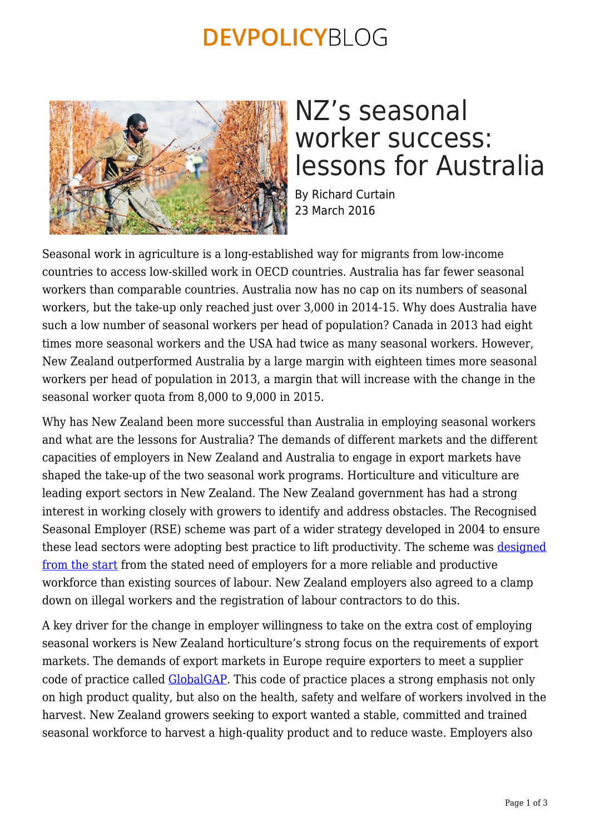### **DEVPOLICYBLOG**



# NZ's seasonal worker success: lessons for Australia

By Richard Curtain 23 March 2016

Seasonal work in agriculture is a long-established way for migrants from low-income countries to access low-skilled work in OECD countries. Australia has far fewer seasonal workers than comparable countries. Australia now has no cap on its numbers of seasonal workers, but the take-up only reached just over 3,000 in 2014-15. Why does Australia have such a low number of seasonal workers per head of population? Canada in 2013 had eight times more seasonal workers and the USA had twice as many seasonal workers. However, New Zealand outperformed Australia by a large margin with eighteen times more seasonal workers per head of population in 2013, a margin that will increase with the change in the seasonal worker quota from 8,000 to 9,000 in 2015.

Why has New Zealand been more successful than Australia in employing seasonal workers and what are the lessons for Australia? The demands of different markets and the different capacities of employers in New Zealand and Australia to engage in export markets have shaped the take-up of the two seasonal work programs. Horticulture and viticulture are leading export sectors in New Zealand. The New Zealand government has had a strong interest in working closely with growers to identify and address obstacles. The Recognised Seasonal Employer (RSE) scheme was part of a wider strategy developed in 2004 to ensure these lead sectors were adopting best practice to lift productivity. The scheme was [designed](https://ojs.victoria.ac.nz/LEW/article/view/1641) [from the start](https://ojs.victoria.ac.nz/LEW/article/view/1641) from the stated need of employers for a more reliable and productive workforce than existing sources of labour. New Zealand employers also agreed to a clamp down on illegal workers and the registration of labour contractors to do this.

A key driver for the change in employer willingness to take on the extra cost of employing seasonal workers is New Zealand horticulture's strong focus on the requirements of export markets. The demands of export markets in Europe require exporters to meet a supplier code of practice called [GlobalGAP](http://www.globalgap.org/uk_en/). This code of practice places a strong emphasis not only on high product quality, but also on the health, safety and welfare of workers involved in the harvest. New Zealand growers seeking to export wanted a stable, committed and trained seasonal workforce to harvest a high-quality product and to reduce waste. Employers also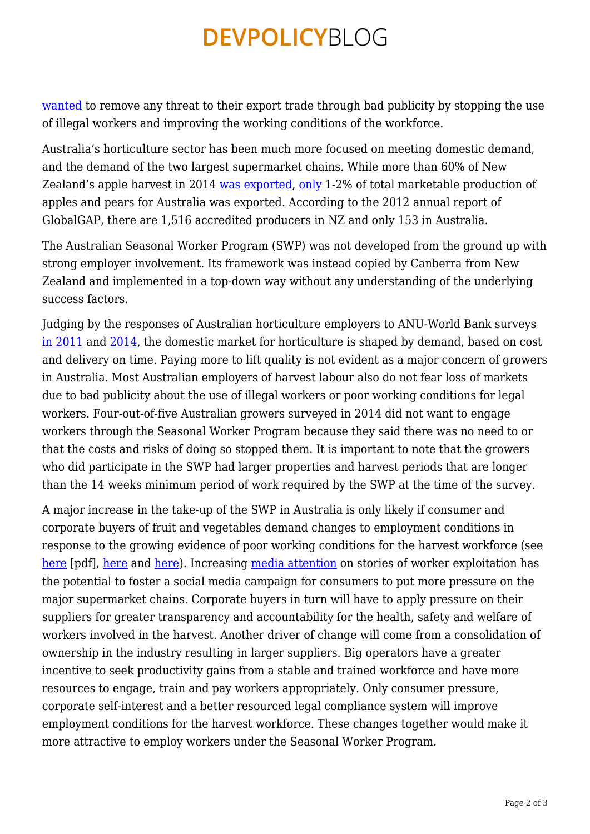### **DEVPOLICYBLOG**

[wanted](https://ojs.victoria.ac.nz/LEW/article/view/1641) to remove any threat to their export trade through bad publicity by stopping the use of illegal workers and improving the working conditions of the workforce.

Australia's horticulture sector has been much more focused on meeting domestic demand, and the demand of the two largest supermarket chains. While more than 60% of New Zealand's apple harvest in 2014 [was exported,](http://www.pipfruitnz.co.nz/) [only](http://apal.org.au/supply-chain/trade/export-markets/) 1-2% of total marketable production of apples and pears for Australia was exported. According to the 2012 annual report of GlobalGAP, there are 1,516 accredited producers in NZ and only 153 in Australia.

The Australian Seasonal Worker Program (SWP) was not developed from the ground up with strong employer involvement. Its framework was instead copied by Canberra from New Zealand and implemented in a top-down way without any understanding of the underlying success factors.

Judging by the responses of Australian horticulture employers to ANU-World Bank surveys [in 2011](https://devpolicy.org/australias-pacific-seasonal-worker-pilot-scheme-why-has-take-up-been-so-low20120404/) and [2014](https://devpolicy.org/where-are-all-the-seasonal-workers-the-most-comprehensive-survey-of-employers-yet-20140218/), the domestic market for horticulture is shaped by demand, based on cost and delivery on time. Paying more to lift quality is not evident as a major concern of growers in Australia. Most Australian employers of harvest labour also do not fear loss of markets due to bad publicity about the use of illegal workers or poor working conditions for legal workers. Four-out-of-five Australian growers surveyed in 2014 did not want to engage workers through the Seasonal Worker Program because they said there was no need to or that the costs and risks of doing so stopped them. It is important to note that the growers who did participate in the SWP had larger properties and harvest periods that are longer than the 14 weeks minimum period of work required by the SWP at the time of the survey.

A major increase in the take-up of the SWP in Australia is only likely if consumer and corporate buyers of fruit and vegetables demand changes to employment conditions in response to the growing evidence of poor working conditions for the harvest workforce (see [here](http://www.aph.gov.au/DocumentStore.ashx?id=0c19bdef-6e26-4815-944d-482972992422&subId=351514) [pdf], [here](http://jir.sagepub.com/content/early/2015/09/03/0022185615600510.abstract) and [here\)](http://dro.deakin.edu.au/view/DU:30080149). Increasing [media attention](http://www.theage.com.au/national/investigations/workers-at-woolworths-supplier-paid-a-pittance-threatened-20160304-gnaft8#ixzz42Y9NxdvL) on stories of worker exploitation has the potential to foster a social media campaign for consumers to put more pressure on the major supermarket chains. Corporate buyers in turn will have to apply pressure on their suppliers for greater transparency and accountability for the health, safety and welfare of workers involved in the harvest. Another driver of change will come from a consolidation of ownership in the industry resulting in larger suppliers. Big operators have a greater incentive to seek productivity gains from a stable and trained workforce and have more resources to engage, train and pay workers appropriately. Only consumer pressure, corporate self-interest and a better resourced legal compliance system will improve employment conditions for the harvest workforce. These changes together would make it more attractive to employ workers under the Seasonal Worker Program.